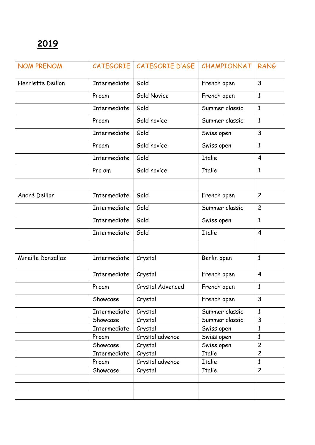| <b>NOM PRENOM</b>  | <b>CATEGORIE</b> | CATEGORIE D'AGE    | CHAMPIONNAT    | <b>RANG</b>    |
|--------------------|------------------|--------------------|----------------|----------------|
| Henriette Deillon  | Intermediate     | Gold               | French open    | $\mathbf{3}$   |
|                    | Proam            | <b>Gold Novice</b> | French open    | $\mathbf{1}$   |
|                    | Intermediate     | Gold               | Summer classic | $\mathbf{1}$   |
|                    | Proam            | Gold novice        | Summer classic | $\mathbf{1}$   |
|                    | Intermediate     | Gold               | Swiss open     | $\overline{3}$ |
|                    | Proam            | Gold novice        | Swiss open     | $\mathbf{1}$   |
|                    | Intermediate     | Gold               | <b>Italie</b>  | $\overline{4}$ |
|                    | Pro am           | Gold novice        | <b>Italie</b>  | $\mathbf{1}$   |
|                    |                  |                    |                |                |
| André Deillon      | Intermediate     | Gold               | French open    | $\overline{c}$ |
|                    | Intermediate     | Gold               | Summer classic | $\overline{c}$ |
|                    | Intermediate     | Gold               | Swiss open     | $\mathbf{1}$   |
|                    | Intermediate     | Gold               | <b>Italie</b>  | $\overline{4}$ |
|                    |                  |                    |                |                |
| Mireille Donzallaz | Intermediate     | Crystal            | Berlin open    | $\mathbf{1}$   |
|                    | Intermediate     | Crystal            | French open    | $\overline{4}$ |
|                    | Proam            | Crystal Advenced   | French open    | $\mathbf{1}$   |
|                    | Showcase         | Crystal            | French open    | 3              |
|                    | Intermediate     | Crystal            | Summer classic | $\mathbf{1}$   |
|                    | Showcase         | Crystal            | Summer classic | 3              |
|                    | Intermediate     | Crystal            | Swiss open     | $\mathbf{1}$   |
|                    | Proam            | Crystal advence    | Swiss open     | $\mathbf{1}$   |
|                    | Showcase         | Crystal            | Swiss open     | $\overline{c}$ |
|                    | Intermediate     | Crystal            | <b>Italie</b>  | $\overline{c}$ |
|                    | Proam            | Crystal advence    | Italie         | $\mathbf{1}$   |
|                    | Showcase         | Crystal            | Italie         | $\overline{c}$ |
|                    |                  |                    |                |                |
|                    |                  |                    |                |                |
|                    |                  |                    |                |                |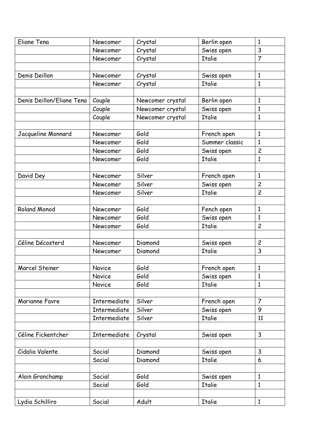| Eliane Tena               | Newcomer            | Crystal          | Berlin open    | $\mathbf{1}$   |
|---------------------------|---------------------|------------------|----------------|----------------|
|                           | Newcomer            | Crystal          | Swiss open     | 3              |
|                           | Newcomer            | Crystal          | <b>Italie</b>  | $\overline{7}$ |
|                           |                     |                  |                |                |
| Denis Deillon             | Newcomer            | Crystal          | Swiss open     | $\mathbf{1}$   |
|                           | Newcomer            | Crystal          | <b>Italie</b>  | 1              |
|                           |                     |                  |                |                |
| Denis Deillon/Eliane Tena | Couple              | Newcomer crystal | Berlin open    | $\mathbf{1}$   |
|                           | Couple              | Newcomer crystal | Swiss open     | $\mathbf{1}$   |
|                           | Couple              | Newcomer crystal | <b>Italie</b>  | $\mathbf{1}$   |
|                           |                     |                  |                |                |
| Jacqueline Monnard        | Newcomer            | Gold             | French open    | $\mathbf{1}$   |
|                           | Newcomer            | Gold             | Summer classic | $\mathbf{1}$   |
|                           | Newcomer            | Gold             | Swiss open     | $\overline{c}$ |
|                           | Newcomer            | Gold             | <b>Italie</b>  | $\mathbf{1}$   |
|                           |                     |                  |                |                |
| David Dey                 | Newcomer            | Silver           | French open    | $\mathbf{1}$   |
|                           | Newcomer            | Silver           | Swiss open     | $\overline{c}$ |
|                           | Newcomer            | Silver           | <b>Italie</b>  | $\overline{c}$ |
|                           |                     |                  |                |                |
| <b>Roland Monod</b>       | Newcomer            | Gold             | Fench open     | $\mathbf{1}$   |
|                           | Newcomer            | Gold             | Swiss open     | $\mathbf{1}$   |
|                           | Newcomer            | Gold             | <b>Italie</b>  | $\overline{c}$ |
|                           |                     |                  |                |                |
| Céline Décosterd          | Newcomer            | Diamond          | Swiss open     | $\overline{c}$ |
|                           | Newcomer            | Diamond          | <b>Italie</b>  | 3              |
|                           |                     |                  |                |                |
| <b>Marcel Steiner</b>     | Novice              | Gold             | French open    | $\mathbf{1}$   |
|                           | Novice              | Gold             | Swiss open     | 1              |
|                           | Novice              | Gold             | <b>Italie</b>  | $\mathbf{1}$   |
|                           |                     |                  |                |                |
| Marianne Favre            | Intermediate        | Silver           | French open    | $\overline{7}$ |
|                           | Intermediate        | Silver           | Swiss open     | 9              |
|                           | <b>Intermediate</b> | Silver           | <b>Italie</b>  | 11             |
|                           |                     |                  |                |                |
| Céline Fickentcher        | Intermediate        | Crystal          | Swiss open     | $\mathsf{3}$   |
|                           |                     |                  |                |                |
| Cidalia Valente           | Social              | Diamond          | Swiss open     | $\mathsf{3}$   |
|                           | Social              | Diamond          | <b>Italie</b>  | 6              |
|                           |                     |                  |                |                |
| Alain Granchamp           | Social              | Gold             | Swiss open     | $\mathbf{1}$   |
|                           | Social              | Gold             | <b>Italie</b>  | 1              |
|                           |                     |                  |                |                |
| Lydia Schilliro           | Social              | Adult            | <b>Italie</b>  | $\mathbf{1}$   |
|                           |                     |                  |                |                |